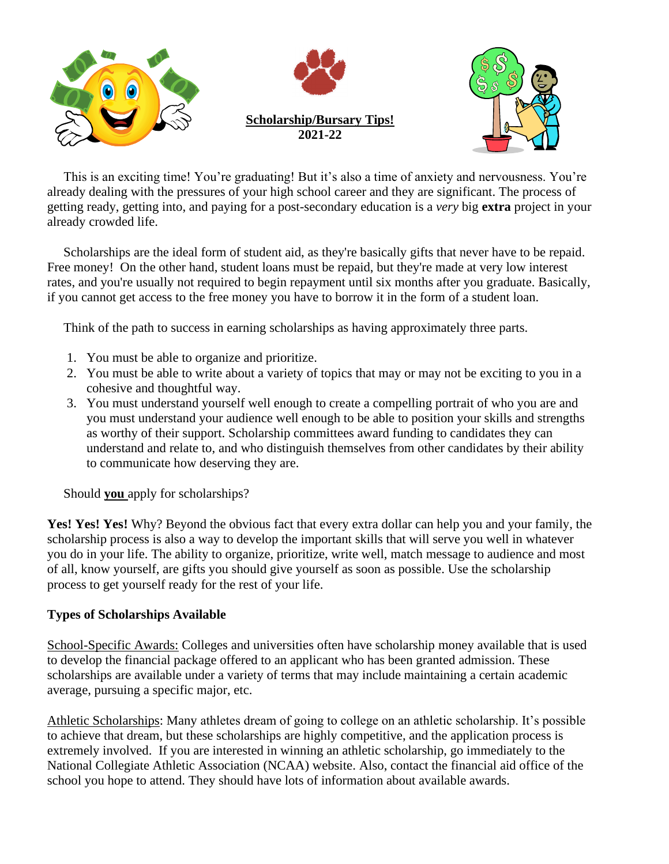

 This is an exciting time! You're graduating! But it's also a time of anxiety and nervousness. You're already dealing with the pressures of your high school career and they are significant. The process of getting ready, getting into, and paying for a post-secondary education is a *very* big **extra** project in your already crowded life.

 Scholarships are the ideal form of student aid, as they're basically gifts that never have to be repaid. Free money! On the other hand, student loans must be repaid, but they're made at very low interest rates, and you're usually not required to begin repayment until six months after you graduate. Basically, if you cannot get access to the free money you have to borrow it in the form of a student loan.

Think of the path to success in earning scholarships as having approximately three parts.

- 1. You must be able to organize and prioritize.
- 2. You must be able to write about a variety of topics that may or may not be exciting to you in a cohesive and thoughtful way.
- 3. You must understand yourself well enough to create a compelling portrait of who you are and you must understand your audience well enough to be able to position your skills and strengths as worthy of their support. Scholarship committees award funding to candidates they can understand and relate to, and who distinguish themselves from other candidates by their ability to communicate how deserving they are.

Should **you** apply for scholarships?

**Yes! Yes! Yes!** Why? Beyond the obvious fact that every extra dollar can help you and your family, the scholarship process is also a way to develop the important skills that will serve you well in whatever you do in your life. The ability to organize, prioritize, write well, match message to audience and most of all, know yourself, are gifts you should give yourself as soon as possible. Use the scholarship process to get yourself ready for the rest of your life.

### **Types of Scholarships Available**

School-Specific Awards: Colleges and universities often have scholarship money available that is used to develop the financial package offered to an applicant who has been granted admission. These scholarships are available under a variety of terms that may include maintaining a certain academic average, pursuing a specific major, etc.

Athletic Scholarships: Many athletes dream of going to college on an athletic scholarship. It's possible to achieve that dream, but these scholarships are highly competitive, and the application process is extremely involved. If you are interested in winning an athletic scholarship, go immediately to the National Collegiate Athletic Association (NCAA) website. Also, contact the financial aid office of the school you hope to attend. They should have lots of information about available awards.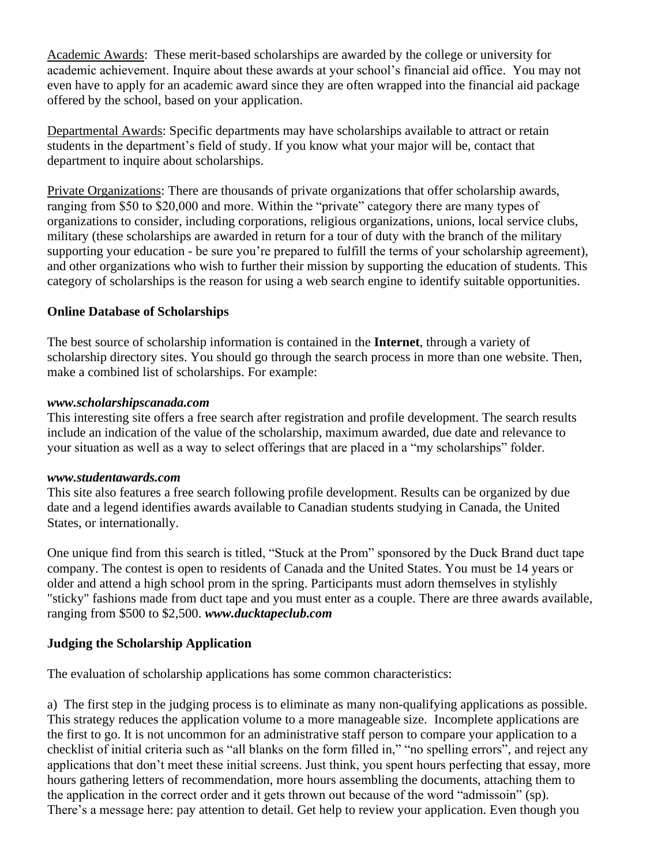Academic Awards: These merit-based scholarships are awarded by the college or university for academic achievement. Inquire about these awards at your school's financial aid office. You may not even have to apply for an academic award since they are often wrapped into the financial aid package offered by the school, based on your application.

Departmental Awards: Specific departments may have scholarships available to attract or retain students in the department's field of study. If you know what your major will be, contact that department to inquire about scholarships.

Private Organizations: There are thousands of private organizations that offer scholarship awards, ranging from \$50 to \$20,000 and more. Within the "private" category there are many types of organizations to consider, including corporations, religious organizations, unions, local service clubs, military (these scholarships are awarded in return for a tour of duty with the branch of the military supporting your education - be sure you're prepared to fulfill the terms of your scholarship agreement), and other organizations who wish to further their mission by supporting the education of students. This category of scholarships is the reason for using a web search engine to identify suitable opportunities.

## **Online Database of Scholarships**

The best source of scholarship information is contained in the **Internet**, through a variety of scholarship directory sites. You should go through the search process in more than one website. Then, make a combined list of scholarships. For example:

### *www.scholarshipscanada.com*

This interesting site offers a free search after registration and profile development. The search results include an indication of the value of the scholarship, maximum awarded, due date and relevance to your situation as well as a way to select offerings that are placed in a "my scholarships" folder.

### *www.studentawards.com*

This site also features a free search following profile development. Results can be organized by due date and a legend identifies awards available to Canadian students studying in Canada, the United States, or internationally.

One unique find from this search is titled, "Stuck at the Prom" sponsored by the Duck Brand duct tape company. The contest is open to residents of Canada and the United States. You must be 14 years or older and attend a high school prom in the spring. Participants must adorn themselves in stylishly "sticky" fashions made from duct tape and you must enter as a couple. There are three awards available, ranging from \$500 to \$2,500. *www.ducktapeclub.com*

## **Judging the Scholarship Application**

The evaluation of scholarship applications has some common characteristics:

a) The first step in the judging process is to eliminate as many non-qualifying applications as possible. This strategy reduces the application volume to a more manageable size. Incomplete applications are the first to go. It is not uncommon for an administrative staff person to compare your application to a checklist of initial criteria such as "all blanks on the form filled in," "no spelling errors", and reject any applications that don't meet these initial screens. Just think, you spent hours perfecting that essay, more hours gathering letters of recommendation, more hours assembling the documents, attaching them to the application in the correct order and it gets thrown out because of the word "admissoin" (sp). There's a message here: pay attention to detail. Get help to review your application. Even though you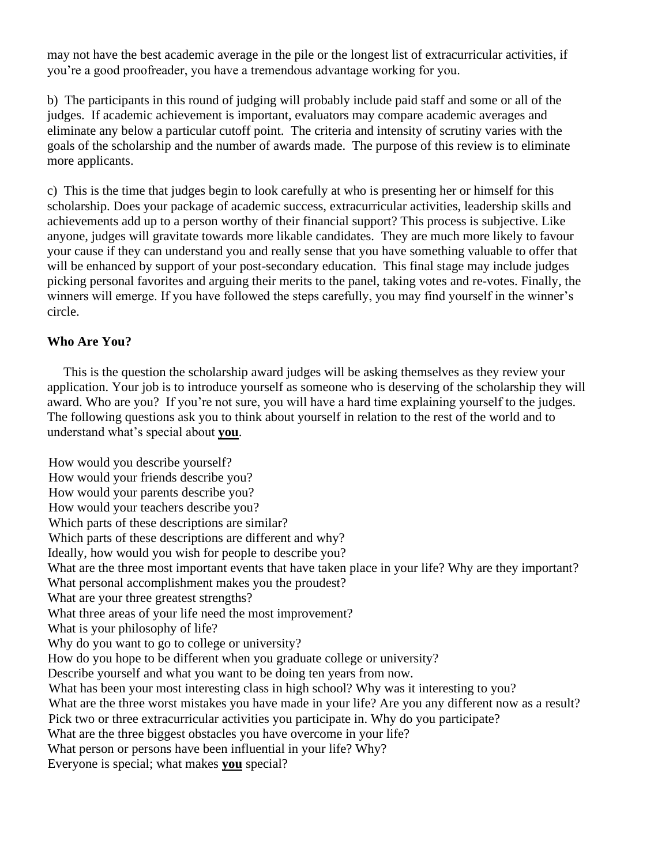may not have the best academic average in the pile or the longest list of extracurricular activities, if you're a good proofreader, you have a tremendous advantage working for you.

b) The participants in this round of judging will probably include paid staff and some or all of the judges. If academic achievement is important, evaluators may compare academic averages and eliminate any below a particular cutoff point. The criteria and intensity of scrutiny varies with the goals of the scholarship and the number of awards made. The purpose of this review is to eliminate more applicants.

c) This is the time that judges begin to look carefully at who is presenting her or himself for this scholarship. Does your package of academic success, extracurricular activities, leadership skills and achievements add up to a person worthy of their financial support? This process is subjective. Like anyone, judges will gravitate towards more likable candidates. They are much more likely to favour your cause if they can understand you and really sense that you have something valuable to offer that will be enhanced by support of your post-secondary education. This final stage may include judges picking personal favorites and arguing their merits to the panel, taking votes and re-votes. Finally, the winners will emerge. If you have followed the steps carefully, you may find yourself in the winner's circle.

## **Who Are You?**

 This is the question the scholarship award judges will be asking themselves as they review your application. Your job is to introduce yourself as someone who is deserving of the scholarship they will award. Who are you? If you're not sure, you will have a hard time explaining yourself to the judges. The following questions ask you to think about yourself in relation to the rest of the world and to understand what's special about **you**.

How would you describe yourself? How would your friends describe you? How would your parents describe you? How would your teachers describe you? Which parts of these descriptions are similar? Which parts of these descriptions are different and why? Ideally, how would you wish for people to describe you? What are the three most important events that have taken place in your life? Why are they important? What personal accomplishment makes you the proudest? What are your three greatest strengths? What three areas of your life need the most improvement? What is your philosophy of life? Why do you want to go to college or university? How do you hope to be different when you graduate college or university? Describe yourself and what you want to be doing ten years from now. What has been your most interesting class in high school? Why was it interesting to you? What are the three worst mistakes you have made in your life? Are you any different now as a result? Pick two or three extracurricular activities you participate in. Why do you participate? What are the three biggest obstacles you have overcome in your life? What person or persons have been influential in your life? Why? Everyone is special; what makes **you** special?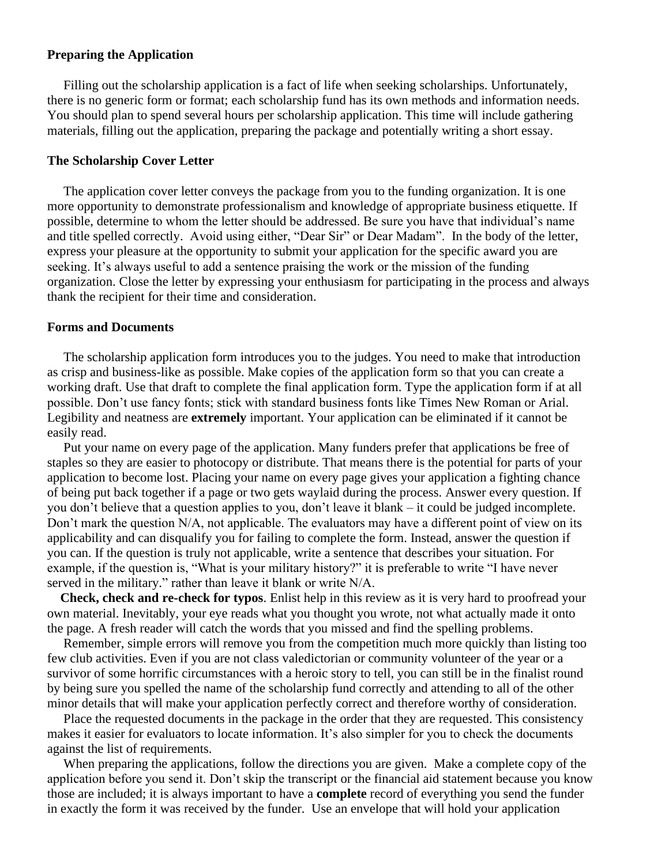#### **Preparing the Application**

 Filling out the scholarship application is a fact of life when seeking scholarships. Unfortunately, there is no generic form or format; each scholarship fund has its own methods and information needs. You should plan to spend several hours per scholarship application. This time will include gathering materials, filling out the application, preparing the package and potentially writing a short essay.

#### **The Scholarship Cover Letter**

 The application cover letter conveys the package from you to the funding organization. It is one more opportunity to demonstrate professionalism and knowledge of appropriate business etiquette. If possible, determine to whom the letter should be addressed. Be sure you have that individual's name and title spelled correctly. Avoid using either, "Dear Sir" or Dear Madam". In the body of the letter, express your pleasure at the opportunity to submit your application for the specific award you are seeking. It's always useful to add a sentence praising the work or the mission of the funding organization. Close the letter by expressing your enthusiasm for participating in the process and always thank the recipient for their time and consideration.

#### **Forms and Documents**

 The scholarship application form introduces you to the judges. You need to make that introduction as crisp and business-like as possible. Make copies of the application form so that you can create a working draft. Use that draft to complete the final application form. Type the application form if at all possible. Don't use fancy fonts; stick with standard business fonts like Times New Roman or Arial. Legibility and neatness are **extremely** important. Your application can be eliminated if it cannot be easily read.

 Put your name on every page of the application. Many funders prefer that applications be free of staples so they are easier to photocopy or distribute. That means there is the potential for parts of your application to become lost. Placing your name on every page gives your application a fighting chance of being put back together if a page or two gets waylaid during the process. Answer every question. If you don't believe that a question applies to you, don't leave it blank – it could be judged incomplete. Don't mark the question N/A, not applicable. The evaluators may have a different point of view on its applicability and can disqualify you for failing to complete the form. Instead, answer the question if you can. If the question is truly not applicable, write a sentence that describes your situation. For example, if the question is, "What is your military history?" it is preferable to write "I have never served in the military." rather than leave it blank or write N/A.

 **Check, check and re-check for typos**. Enlist help in this review as it is very hard to proofread your own material. Inevitably, your eye reads what you thought you wrote, not what actually made it onto the page. A fresh reader will catch the words that you missed and find the spelling problems.

 Remember, simple errors will remove you from the competition much more quickly than listing too few club activities. Even if you are not class valedictorian or community volunteer of the year or a survivor of some horrific circumstances with a heroic story to tell, you can still be in the finalist round by being sure you spelled the name of the scholarship fund correctly and attending to all of the other minor details that will make your application perfectly correct and therefore worthy of consideration.

 Place the requested documents in the package in the order that they are requested. This consistency makes it easier for evaluators to locate information. It's also simpler for you to check the documents against the list of requirements.

 When preparing the applications, follow the directions you are given. Make a complete copy of the application before you send it. Don't skip the transcript or the financial aid statement because you know those are included; it is always important to have a **complete** record of everything you send the funder in exactly the form it was received by the funder. Use an envelope that will hold your application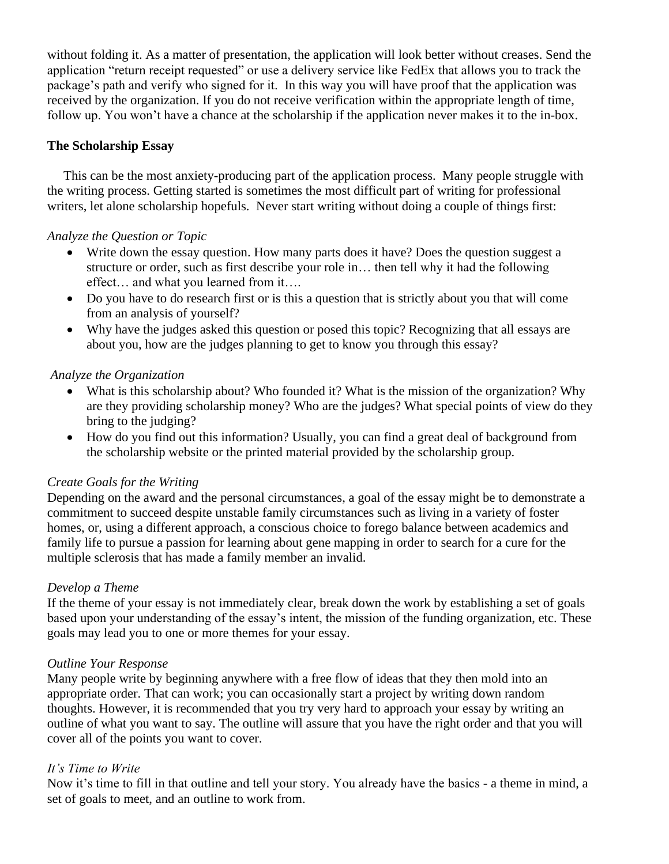without folding it. As a matter of presentation, the application will look better without creases. Send the application "return receipt requested" or use a delivery service like FedEx that allows you to track the package's path and verify who signed for it. In this way you will have proof that the application was received by the organization. If you do not receive verification within the appropriate length of time, follow up. You won't have a chance at the scholarship if the application never makes it to the in-box.

## **The Scholarship Essay**

 This can be the most anxiety-producing part of the application process. Many people struggle with the writing process. Getting started is sometimes the most difficult part of writing for professional writers, let alone scholarship hopefuls. Never start writing without doing a couple of things first:

## *Analyze the Question or Topic*

- Write down the essay question. How many parts does it have? Does the question suggest a structure or order, such as first describe your role in… then tell why it had the following effect… and what you learned from it….
- Do you have to do research first or is this a question that is strictly about you that will come from an analysis of yourself?
- Why have the judges asked this question or posed this topic? Recognizing that all essays are about you, how are the judges planning to get to know you through this essay?

## *Analyze the Organization*

- What is this scholarship about? Who founded it? What is the mission of the organization? Why are they providing scholarship money? Who are the judges? What special points of view do they bring to the judging?
- How do you find out this information? Usually, you can find a great deal of background from the scholarship website or the printed material provided by the scholarship group.

### *Create Goals for the Writing*

Depending on the award and the personal circumstances, a goal of the essay might be to demonstrate a commitment to succeed despite unstable family circumstances such as living in a variety of foster homes, or, using a different approach, a conscious choice to forego balance between academics and family life to pursue a passion for learning about gene mapping in order to search for a cure for the multiple sclerosis that has made a family member an invalid.

### *Develop a Theme*

If the theme of your essay is not immediately clear, break down the work by establishing a set of goals based upon your understanding of the essay's intent, the mission of the funding organization, etc. These goals may lead you to one or more themes for your essay.

### *Outline Your Response*

Many people write by beginning anywhere with a free flow of ideas that they then mold into an appropriate order. That can work; you can occasionally start a project by writing down random thoughts. However, it is recommended that you try very hard to approach your essay by writing an outline of what you want to say. The outline will assure that you have the right order and that you will cover all of the points you want to cover.

### *It's Time to Write*

Now it's time to fill in that outline and tell your story. You already have the basics - a theme in mind, a set of goals to meet, and an outline to work from.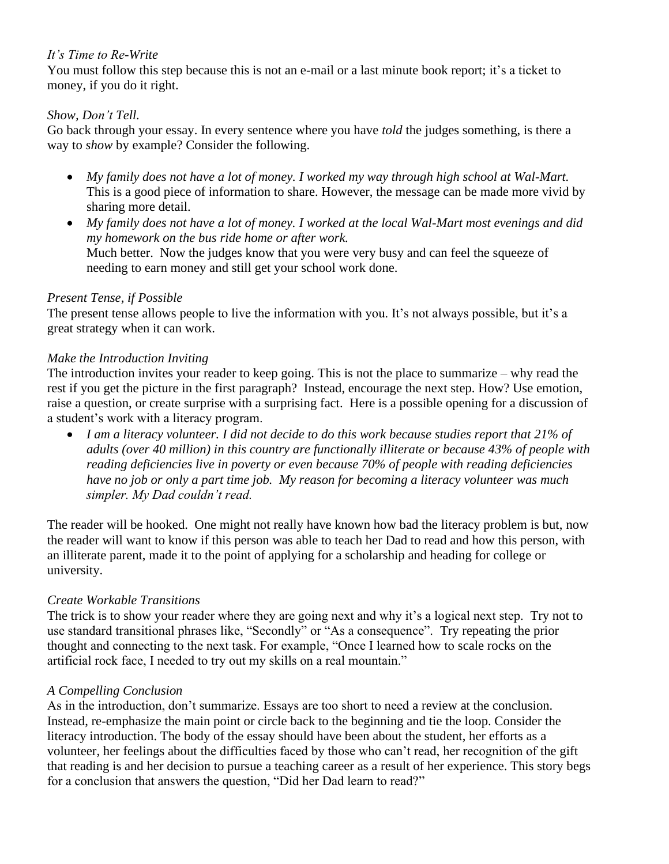## *It's Time to Re-Write*

You must follow this step because this is not an e-mail or a last minute book report; it's a ticket to money, if you do it right.

## *Show, Don't Tell.*

Go back through your essay. In every sentence where you have *told* the judges something, is there a way to *show* by example? Consider the following.

- *My family does not have a lot of money. I worked my way through high school at Wal-Mart.* This is a good piece of information to share. However, the message can be made more vivid by sharing more detail.
- *My family does not have a lot of money. I worked at the local Wal-Mart most evenings and did my homework on the bus ride home or after work.*  Much better. Now the judges know that you were very busy and can feel the squeeze of needing to earn money and still get your school work done.

## *Present Tense, if Possible*

The present tense allows people to live the information with you. It's not always possible, but it's a great strategy when it can work.

## *Make the Introduction Inviting*

The introduction invites your reader to keep going. This is not the place to summarize – why read the rest if you get the picture in the first paragraph? Instead, encourage the next step. How? Use emotion, raise a question, or create surprise with a surprising fact. Here is a possible opening for a discussion of a student's work with a literacy program.

• *I am a literacy volunteer. I did not decide to do this work because studies report that 21% of adults (over 40 million) in this country are functionally illiterate or because 43% of people with reading deficiencies live in poverty or even because 70% of people with reading deficiencies have no job or only a part time job. My reason for becoming a literacy volunteer was much simpler. My Dad couldn't read.* 

The reader will be hooked. One might not really have known how bad the literacy problem is but, now the reader will want to know if this person was able to teach her Dad to read and how this person, with an illiterate parent, made it to the point of applying for a scholarship and heading for college or university.

# *Create Workable Transitions*

The trick is to show your reader where they are going next and why it's a logical next step. Try not to use standard transitional phrases like, "Secondly" or "As a consequence". Try repeating the prior thought and connecting to the next task. For example, "Once I learned how to scale rocks on the artificial rock face, I needed to try out my skills on a real mountain."

## *A Compelling Conclusion*

As in the introduction, don't summarize. Essays are too short to need a review at the conclusion. Instead, re-emphasize the main point or circle back to the beginning and tie the loop. Consider the literacy introduction. The body of the essay should have been about the student, her efforts as a volunteer, her feelings about the difficulties faced by those who can't read, her recognition of the gift that reading is and her decision to pursue a teaching career as a result of her experience. This story begs for a conclusion that answers the question, "Did her Dad learn to read?"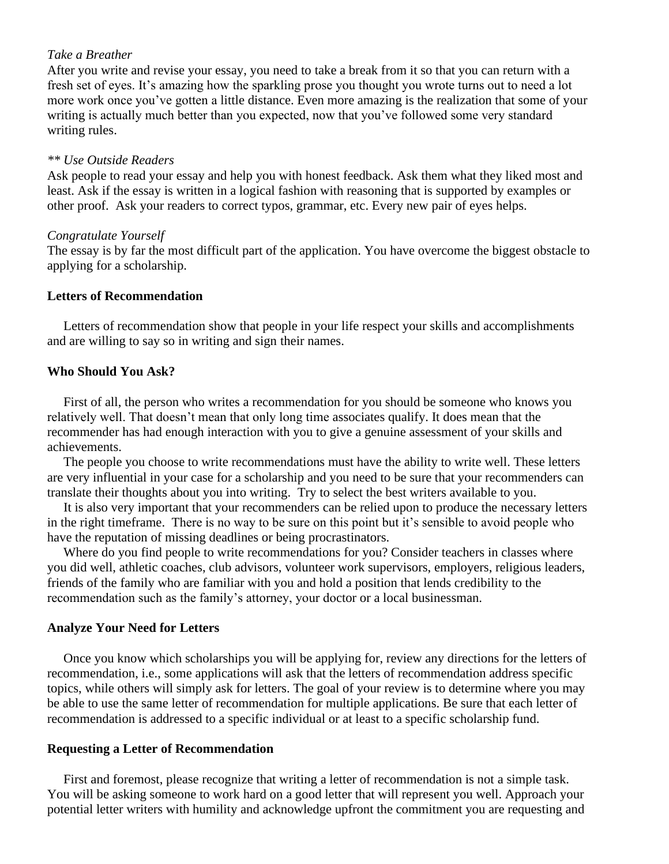## *Take a Breather*

After you write and revise your essay, you need to take a break from it so that you can return with a fresh set of eyes. It's amazing how the sparkling prose you thought you wrote turns out to need a lot more work once you've gotten a little distance. Even more amazing is the realization that some of your writing is actually much better than you expected, now that you've followed some very standard writing rules.

### *\*\* Use Outside Readers*

Ask people to read your essay and help you with honest feedback. Ask them what they liked most and least. Ask if the essay is written in a logical fashion with reasoning that is supported by examples or other proof. Ask your readers to correct typos, grammar, etc. Every new pair of eyes helps.

#### *Congratulate Yourself*

The essay is by far the most difficult part of the application. You have overcome the biggest obstacle to applying for a scholarship.

#### **Letters of Recommendation**

 Letters of recommendation show that people in your life respect your skills and accomplishments and are willing to say so in writing and sign their names.

#### **Who Should You Ask?**

 First of all, the person who writes a recommendation for you should be someone who knows you relatively well. That doesn't mean that only long time associates qualify. It does mean that the recommender has had enough interaction with you to give a genuine assessment of your skills and achievements.

 The people you choose to write recommendations must have the ability to write well. These letters are very influential in your case for a scholarship and you need to be sure that your recommenders can translate their thoughts about you into writing. Try to select the best writers available to you.

 It is also very important that your recommenders can be relied upon to produce the necessary letters in the right timeframe. There is no way to be sure on this point but it's sensible to avoid people who have the reputation of missing deadlines or being procrastinators.

 Where do you find people to write recommendations for you? Consider teachers in classes where you did well, athletic coaches, club advisors, volunteer work supervisors, employers, religious leaders, friends of the family who are familiar with you and hold a position that lends credibility to the recommendation such as the family's attorney, your doctor or a local businessman.

### **Analyze Your Need for Letters**

 Once you know which scholarships you will be applying for, review any directions for the letters of recommendation, i.e., some applications will ask that the letters of recommendation address specific topics, while others will simply ask for letters. The goal of your review is to determine where you may be able to use the same letter of recommendation for multiple applications. Be sure that each letter of recommendation is addressed to a specific individual or at least to a specific scholarship fund.

### **Requesting a Letter of Recommendation**

 First and foremost, please recognize that writing a letter of recommendation is not a simple task. You will be asking someone to work hard on a good letter that will represent you well. Approach your potential letter writers with humility and acknowledge upfront the commitment you are requesting and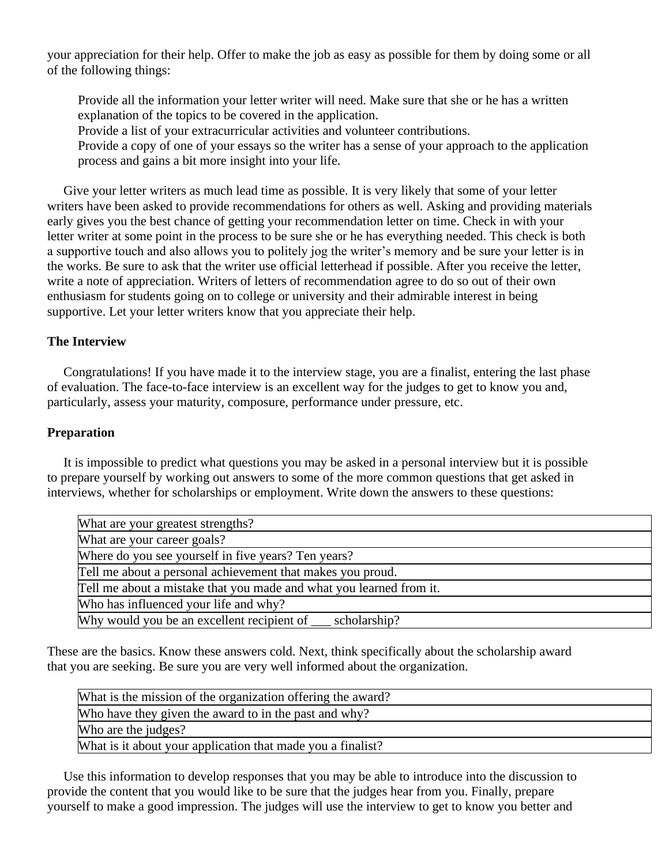your appreciation for their help. Offer to make the job as easy as possible for them by doing some or all of the following things:

Provide all the information your letter writer will need. Make sure that she or he has a written explanation of the topics to be covered in the application.

Provide a list of your extracurricular activities and volunteer contributions.

Provide a copy of one of your essays so the writer has a sense of your approach to the application process and gains a bit more insight into your life.

 Give your letter writers as much lead time as possible. It is very likely that some of your letter writers have been asked to provide recommendations for others as well. Asking and providing materials early gives you the best chance of getting your recommendation letter on time. Check in with your letter writer at some point in the process to be sure she or he has everything needed. This check is both a supportive touch and also allows you to politely jog the writer's memory and be sure your letter is in the works. Be sure to ask that the writer use official letterhead if possible. After you receive the letter, write a note of appreciation. Writers of letters of recommendation agree to do so out of their own enthusiasm for students going on to college or university and their admirable interest in being supportive. Let your letter writers know that you appreciate their help.

## **The Interview**

 Congratulations! If you have made it to the interview stage, you are a finalist, entering the last phase of evaluation. The face-to-face interview is an excellent way for the judges to get to know you and, particularly, assess your maturity, composure, performance under pressure, etc.

## **Preparation**

 It is impossible to predict what questions you may be asked in a personal interview but it is possible to prepare yourself by working out answers to some of the more common questions that get asked in interviews, whether for scholarships or employment. Write down the answers to these questions:

| What are your greatest strengths?                                    |
|----------------------------------------------------------------------|
| What are your career goals?                                          |
| Where do you see yourself in five years? Ten years?                  |
| Tell me about a personal achievement that makes you proud.           |
| [Tell me about a mistake that you made and what you learned from it. |
| Who has influenced your life and why?                                |
| Why would you be an excellent recipient of <u>scholarship</u> ?      |

These are the basics. Know these answers cold. Next, think specifically about the scholarship award that you are seeking. Be sure you are very well informed about the organization.

| What is the mission of the organization offering the award? |  |
|-------------------------------------------------------------|--|
| Who have they given the award to in the past and why?       |  |
| Who are the judges?                                         |  |
| What is it about your application that made you a finalist? |  |

 Use this information to develop responses that you may be able to introduce into the discussion to provide the content that you would like to be sure that the judges hear from you. Finally, prepare yourself to make a good impression. The judges will use the interview to get to know you better and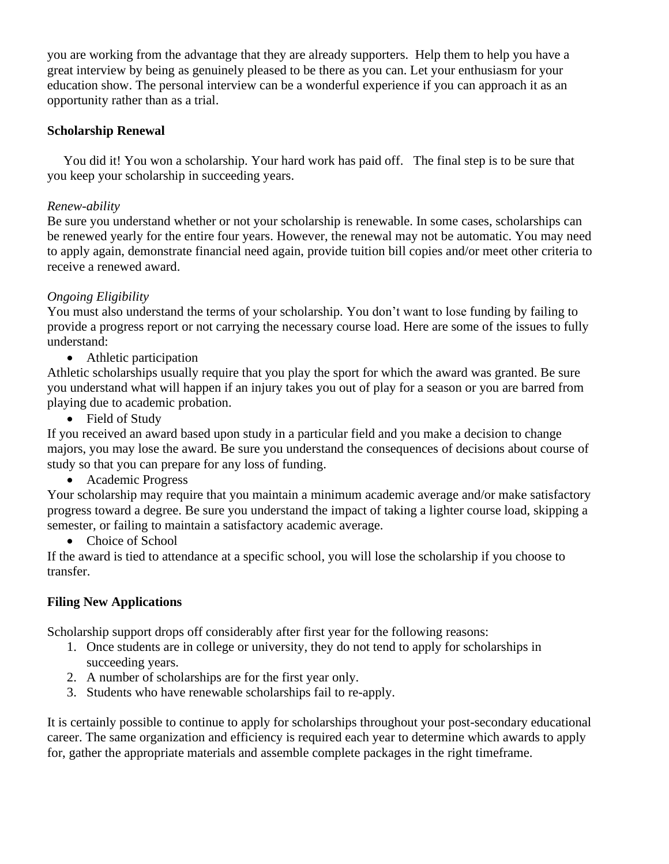you are working from the advantage that they are already supporters. Help them to help you have a great interview by being as genuinely pleased to be there as you can. Let your enthusiasm for your education show. The personal interview can be a wonderful experience if you can approach it as an opportunity rather than as a trial.

## **Scholarship Renewal**

 You did it! You won a scholarship. Your hard work has paid off. The final step is to be sure that you keep your scholarship in succeeding years.

## *Renew-ability*

Be sure you understand whether or not your scholarship is renewable. In some cases, scholarships can be renewed yearly for the entire four years. However, the renewal may not be automatic. You may need to apply again, demonstrate financial need again, provide tuition bill copies and/or meet other criteria to receive a renewed award.

## *Ongoing Eligibility*

You must also understand the terms of your scholarship. You don't want to lose funding by failing to provide a progress report or not carrying the necessary course load. Here are some of the issues to fully understand:

• Athletic participation

Athletic scholarships usually require that you play the sport for which the award was granted. Be sure you understand what will happen if an injury takes you out of play for a season or you are barred from playing due to academic probation.

• Field of Study

If you received an award based upon study in a particular field and you make a decision to change majors, you may lose the award. Be sure you understand the consequences of decisions about course of study so that you can prepare for any loss of funding.

• Academic Progress

Your scholarship may require that you maintain a minimum academic average and/or make satisfactory progress toward a degree. Be sure you understand the impact of taking a lighter course load, skipping a semester, or failing to maintain a satisfactory academic average.

• Choice of School

If the award is tied to attendance at a specific school, you will lose the scholarship if you choose to transfer.

## **Filing New Applications**

Scholarship support drops off considerably after first year for the following reasons:

- 1. Once students are in college or university, they do not tend to apply for scholarships in succeeding years.
- 2. A number of scholarships are for the first year only.
- 3. Students who have renewable scholarships fail to re-apply.

It is certainly possible to continue to apply for scholarships throughout your post-secondary educational career. The same organization and efficiency is required each year to determine which awards to apply for, gather the appropriate materials and assemble complete packages in the right timeframe.